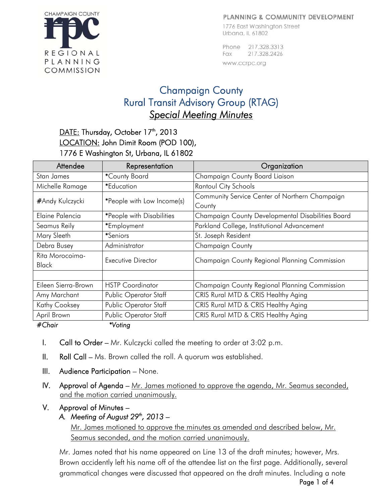#### PLANNING & COMMUNITY DEVELOPMENT

**CHAMPAIGN COUNTY** REGIONAL PLANNING COMMISSION

1776 East Washington Street Urbana, IL 61802

Phone 217,328,3313 217.328.2426 Fax www.ccrpc.org

# Champaign County Rural Transit Advisory Group (RTAG) *Special Meeting Minutes*

### DATE: Thursday, October 17<sup>th</sup>, 2013 LOCATION: John Dimit Room (POD 100), 1776 E Washington St, Urbana, IL 61802

| Attendee                             | Representation             | Organization                                      |
|--------------------------------------|----------------------------|---------------------------------------------------|
| Stan James                           | *County Board              | Champaign County Board Liaison                    |
| Michelle Ramage                      | *Education                 | Rantoul City Schools                              |
| #Andy Kulczycki                      | *People with Low Income(s) | Community Service Center of Northern Champaign    |
|                                      |                            | County                                            |
| Elaine Palencia                      | *People with Disabilities  | Champaign County Developmental Disabilities Board |
| Seamus Reily                         | *Employment                | Parkland College, Institutional Advancement       |
| Mary Sleeth                          | *Seniors                   | St. Joseph Resident                               |
| Debra Busey                          | Administrator              | Champaign County                                  |
| Rita Morocoima-                      | Executive Director         | Champaign County Regional Planning Commission     |
| <b>Black</b>                         |                            |                                                   |
|                                      |                            |                                                   |
| Eileen Sierra-Brown                  | <b>HSTP Coordinator</b>    | Champaign County Regional Planning Commission     |
| Amy Marchant                         | Public Operator Staff      | CRIS Rural MTD & CRIS Healthy Aging               |
| Kathy Cooksey                        | Public Operator Staff      | CRIS Rural MTD & CRIS Healthy Aging               |
| April Brown                          | Public Operator Staff      | CRIS Rural MTD & CRIS Healthy Aging               |
| $\overline{u}$ $\sim$ $\overline{u}$ | $-1$ $-1$ $-1$             |                                                   |

- *#Chair \*Voting*
	- I. Call to Order Mr. Kulczycki called the meeting to order at 3:02 p.m.
	- II. Roll Call Ms. Brown called the roll. A quorum was established.
	- III. Audience Participation None.
	- IV. Approval of Agenda  $Mr.$  James motioned to approve the agenda, Mr. Seamus seconded, and the motion carried unanimously.
	- V. Approval of Minutes –

## *A. Meeting of August 29th, 2013* –

Mr. James motioned to approve the minutes as amended and described below, Mr. Seamus seconded, and the motion carried unanimously.

Mr. James noted that his name appeared on Line 13 of the draft minutes; however, Mrs. Brown accidently left his name off of the attendee list on the first page. Additionally, several grammatical changes were discussed that appeared on the draft minutes. Including a note

Page 1 of 4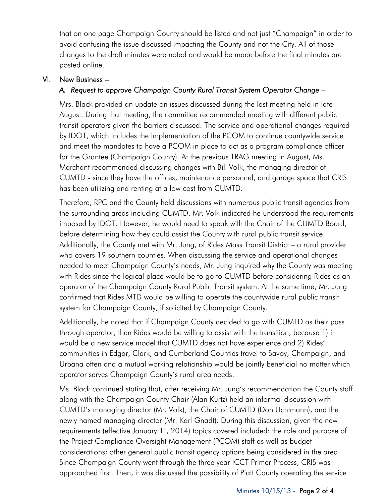that on one page Champaign County should be listed and not just "Champaign" in order to avoid confusing the issue discussed impacting the County and not the City. All of those changes to the draft minutes were noted and would be made before the final minutes are posted online.

#### VI. New Business –

### *A. Request to approve Champaign County Rural Transit System Operator Change* –

Mrs. Black provided an update on issues discussed during the last meeting held in late August. During that meeting, the committee recommended meeting with different public transit operators given the barriers discussed. The service and operational changes required by IDOT, which includes the implementation of the PCOM to continue countywide service and meet the mandates to have a PCOM in place to act as a program compliance officer for the Grantee (Champaign County). At the previous TRAG meeting in August, Ms. Marchant recommended discussing changes with Bill Volk, the managing director of CUMTD - since they have the offices, maintenance personnel, and garage space that CRIS has been utilizing and renting at a low cost from CUMTD.

Therefore, RPC and the County held discussions with numerous public transit agencies from the surrounding areas including CUMTD. Mr. Volk indicated he understood the requirements imposed by IDOT. However, he would need to speak with the Chair of the CUMTD Board, before determining how they could assist the County with rural public transit service. Additionally, the County met with Mr. Jung, of Rides Mass Transit District – a rural provider who covers 19 southern counties. When discussing the service and operational changes needed to meet Champaign County's needs, Mr. Jung inquired why the County was meeting with Rides since the logical place would be to go to CUMTD before considering Rides as an operator of the Champaign County Rural Public Transit system. At the same time, Mr. Jung confirmed that Rides MTD would be willing to operate the countywide rural public transit system for Champaign County, if solicited by Champaign County.

Additionally, he noted that if Champaign County decided to go with CUMTD as their pass through operator; then Rides would be willing to assist with the transition, because 1) it would be a new service model that CUMTD does not have experience and 2) Rides' communities in Edgar, Clark, and Cumberland Counties travel to Savoy, Champaign, and Urbana often and a mutual working relationship would be jointly beneficial no matter which operator serves Champaign County's rural area needs.

Ms. Black continued stating that, after receiving Mr. Jung's recommendation the County staff along with the Champaign County Chair (Alan Kurtz) held an informal discussion with CUMTD's managing director (Mr. Volk), the Chair of CUMTD (Don Uchtmann), and the newly named managing director (Mr. Karl Gnadt). During this discussion, given the new requirements (effective January  $1<sup>st</sup>$ , 2014) topics covered included: the role and purpose of the Project Compliance Oversight Management (PCOM) staff as well as budget considerations; other general public transit agency options being considered in the area. Since Champaign County went through the three year ICCT Primer Process, CRIS was approached first. Then, it was discussed the possibility of Piatt County operating the service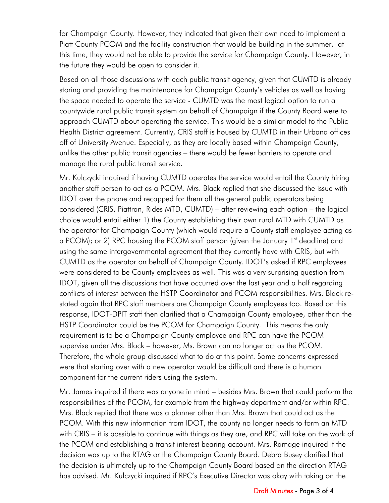for Champaign County. However, they indicated that given their own need to implement a Piatt County PCOM and the facility construction that would be building in the summer, at this time, they would not be able to provide the service for Champaign County. However, in the future they would be open to consider it.

Based on all those discussions with each public transit agency, given that CUMTD is already storing and providing the maintenance for Champaign County's vehicles as well as having the space needed to operate the service - CUMTD was the most logical option to run a countywide rural public transit system on behalf of Champaign if the County Board were to approach CUMTD about operating the service. This would be a similar model to the Public Health District agreement. Currently, CRIS staff is housed by CUMTD in their Urbana offices off of University Avenue. Especially, as they are locally based within Champaign County, unlike the other public transit agencies – there would be fewer barriers to operate and manage the rural public transit service.

Mr. Kulczycki inquired if having CUMTD operates the service would entail the County hiring another staff person to act as a PCOM. Mrs. Black replied that she discussed the issue with IDOT over the phone and recapped for them all the general public operators being considered (CRIS, Piattran, Rides MTD, CUMTD) – after reviewing each option – the logical choice would entail either 1) the County establishing their own rural MTD with CUMTD as the operator for Champaign County (which would require a County staff employee acting as a PCOM); or 2) RPC housing the PCOM staff person (given the January  $1<sup>st</sup>$  deadline) and using the same intergovernmental agreement that they currently have with CRIS, but with CUMTD as the operator on behalf of Champaign County. IDOT's asked if RPC employees were considered to be County employees as well. This was a very surprising question from IDOT, given all the discussions that have occurred over the last year and a half regarding conflicts of interest between the HSTP Coordinator and PCOM responsibilities. Mrs. Black restated again that RPC staff members are Champaign County employees too. Based on this response, IDOT-DPIT staff then clarified that a Champaign County employee, other than the HSTP Coordinator could be the PCOM for Champaign County. This means the only requirement is to be a Champaign County employee and RPC can have the PCOM supervise under Mrs. Black – however, Ms. Brown can no longer act as the PCOM. Therefore, the whole group discussed what to do at this point. Some concerns expressed were that starting over with a new operator would be difficult and there is a human component for the current riders using the system.

Mr. James inquired if there was anyone in mind – besides Mrs. Brown that could perform the responsibilities of the PCOM, for example from the highway department and/or within RPC. Mrs. Black replied that there was a planner other than Mrs. Brown that could act as the PCOM. With this new information from IDOT, the county no longer needs to form an MTD with CRIS – it is possible to continue with things as they are, and RPC will take on the work of the PCOM and establishing a transit interest bearing account. Mrs. Ramage inquired if the decision was up to the RTAG or the Champaign County Board. Debra Busey clarified that the decision is ultimately up to the Champaign County Board based on the direction RTAG has advised. Mr. Kulczycki inquired if RPC's Executive Director was okay with taking on the